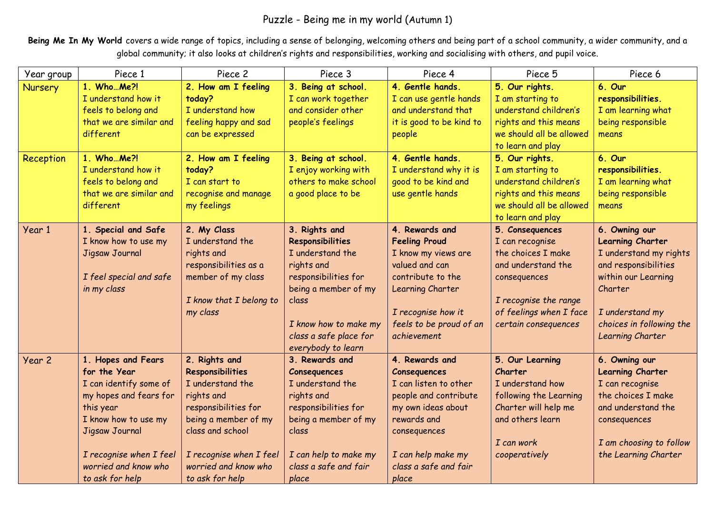## Puzzle - Being me in my world (Autumn 1)

Being Me In My World covers a wide range of topics, including a sense of belonging, welcoming others and being part of a school community, a wider community, and a global community; it also looks at children's rights and responsibilities, working and socialising with others, and pupil voice.

| Year group           | Piece 1                                                                                                                                                                                                             | Piece 2                                                                                                                                                                                                       | Piece 3                                                                                                                                                                                                      | Piece 4                                                                                                                                                                                              | Piece 5                                                                                                                                                                                                                                                                        | Piece 6                                                                                                                                                                                         |
|----------------------|---------------------------------------------------------------------------------------------------------------------------------------------------------------------------------------------------------------------|---------------------------------------------------------------------------------------------------------------------------------------------------------------------------------------------------------------|--------------------------------------------------------------------------------------------------------------------------------------------------------------------------------------------------------------|------------------------------------------------------------------------------------------------------------------------------------------------------------------------------------------------------|--------------------------------------------------------------------------------------------------------------------------------------------------------------------------------------------------------------------------------------------------------------------------------|-------------------------------------------------------------------------------------------------------------------------------------------------------------------------------------------------|
| Nursery<br>Reception | 1. Who  Me?!<br>I understand how it<br>feels to belong and<br>that we are similar and<br>different<br>1. Who  Me?!<br>I understand how it<br>feels to belong and<br>that we are similar and<br>different            | 2. How am I feeling<br>today?<br>I understand how<br>feeling happy and sad<br>can be expressed<br>2. How am I feeling<br>today?<br>I can start to<br>recognise and manage<br>my feelings                      | 3. Being at school.<br>I can work together<br>and consider other<br>people's feelings<br>3. Being at school.<br>I enjoy working with<br>others to make school<br>a good place to be                          | 4. Gentle hands.<br>I can use gentle hands<br>and understand that<br>it is good to be kind to<br>people<br>4. Gentle hands.<br>I understand why it is<br>good to be kind and<br>use gentle hands     | 5. Our rights.<br>I am starting to<br>understand children's<br>rights and this means<br>we should all be allowed<br>to learn and play<br>5. Our rights.<br>I am starting to<br>understand children's<br>rights and this means<br>we should all be allowed<br>to learn and play | 6. Our<br>responsibilities.<br>I am learning what<br>being responsible<br>means<br>6. Our<br>responsibilities.<br>I am learning what<br>being responsible<br>means                              |
| Year 1               | 1. Special and Safe<br>I know how to use my<br>Jigsaw Journal<br>I feel special and safe<br>in my class                                                                                                             | 2. My Class<br>I understand the<br>rights and<br>responsibilities as a<br>member of my class<br>I know that I belong to<br>my class                                                                           | 3. Rights and<br><b>Responsibilities</b><br>I understand the<br>rights and<br>responsibilities for<br>being a member of my<br>class<br>I know how to make my<br>class a safe place for<br>everybody to learn | 4. Rewards and<br><b>Feeling Proud</b><br>I know my views are<br>valued and can<br>contribute to the<br>Learning Charter<br>I recognise how it<br>feels to be proud of an<br>achievement             | 5. Consequences<br>I can recognise<br>the choices I make<br>and understand the<br>consequences<br>I recognise the range<br>of feelings when I face<br>certain consequences                                                                                                     | 6. Owning our<br><b>Learning Charter</b><br>I understand my rights<br>and responsibilities<br>within our Learning<br>Charter<br>I understand my<br>choices in following the<br>Learning Charter |
| Year 2               | 1. Hopes and Fears<br>for the Year<br>I can identify some of<br>my hopes and fears for<br>this year<br>I know how to use my<br>Jigsaw Journal<br>I recognise when I feel<br>worried and know who<br>to ask for help | 2. Rights and<br>Responsibilities<br>I understand the<br>rights and<br>responsibilities for<br>being a member of my<br>class and school<br>I recognise when I feel<br>worried and know who<br>to ask for help | 3. Rewards and<br>Consequences<br>I understand the<br>rights and<br>responsibilities for<br>being a member of my<br>class<br>I can help to make my<br>class a safe and fair<br>place                         | 4. Rewards and<br><b>Consequences</b><br>I can listen to other<br>people and contribute<br>my own ideas about<br>rewards and<br>consequences<br>I can help make my<br>class a safe and fair<br>place | 5. Our Learning<br>Charter<br>I understand how<br>following the Learning<br>Charter will help me<br>and others learn<br>I can work<br>cooperatively                                                                                                                            | 6. Owning our<br><b>Learning Charter</b><br>I can recognise<br>the choices I make<br>and understand the<br>consequences<br>I am choosing to follow<br>the Learning Charter                      |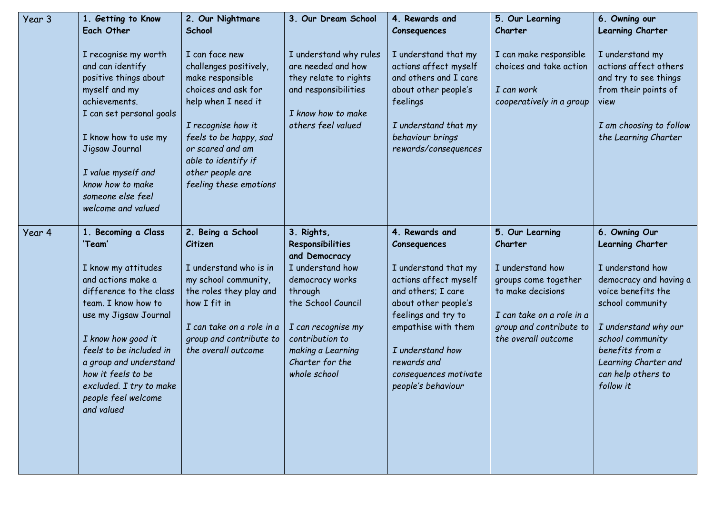| Year 3 | 1. Getting to Know                                                                                                                                                                                                                                                                                                     | 2. Our Nightmare                                                                                                                                                                                                                                    | 3. Our Dream School                                                                                                                                                                                                      | 4. Rewards and                                                                                                                                                                                                                                                | 5. Our Learning                                                                                                                                                            | 6. Owning our                                                                                                                                                                                                                                       |
|--------|------------------------------------------------------------------------------------------------------------------------------------------------------------------------------------------------------------------------------------------------------------------------------------------------------------------------|-----------------------------------------------------------------------------------------------------------------------------------------------------------------------------------------------------------------------------------------------------|--------------------------------------------------------------------------------------------------------------------------------------------------------------------------------------------------------------------------|---------------------------------------------------------------------------------------------------------------------------------------------------------------------------------------------------------------------------------------------------------------|----------------------------------------------------------------------------------------------------------------------------------------------------------------------------|-----------------------------------------------------------------------------------------------------------------------------------------------------------------------------------------------------------------------------------------------------|
|        | Each Other                                                                                                                                                                                                                                                                                                             | School                                                                                                                                                                                                                                              |                                                                                                                                                                                                                          | Consequences                                                                                                                                                                                                                                                  | Charter                                                                                                                                                                    | Learning Charter                                                                                                                                                                                                                                    |
|        | I recognise my worth<br>and can identify<br>positive things about<br>myself and my<br>achievements.<br>I can set personal goals<br>I know how to use my<br>Jigsaw Journal<br>I value myself and<br>know how to make<br>someone else feel<br>welcome and valued                                                         | I can face new<br>challenges positively,<br>make responsible<br>choices and ask for<br>help when I need it<br>I recognise how it<br>feels to be happy, sad<br>or scared and am<br>able to identify if<br>other people are<br>feeling these emotions | I understand why rules<br>are needed and how<br>they relate to rights<br>and responsibilities<br>I know how to make<br>others feel valued                                                                                | I understand that my<br>actions affect myself<br>and others and I care<br>about other people's<br>feelings<br>I understand that my<br>behaviour brings<br>rewards/consequences                                                                                | I can make responsible<br>choices and take action<br>I can work<br>cooperatively in a group                                                                                | I understand my<br>actions affect others<br>and try to see things<br>from their points of<br>view<br>I am choosing to follow<br>the Learning Charter                                                                                                |
| Year 4 | 1. Becoming a Class<br>'Team'<br>I know my attitudes<br>and actions make a<br>difference to the class<br>team. I know how to<br>use my Jigsaw Journal<br>I know how good it<br>feels to be included in<br>a group and understand<br>how it feels to be<br>excluded. I try to make<br>people feel welcome<br>and valued | 2. Being a School<br>Citizen<br>I understand who is in<br>my school community,<br>the roles they play and<br>how I fit in<br>I can take on a role in a<br>group and contribute to<br>the overall outcome                                            | 3. Rights,<br>Responsibilities<br>and Democracy<br>I understand how<br>democracy works<br>through<br>the School Council<br>I can recognise my<br>contribution to<br>making a Learning<br>Charter for the<br>whole school | 4. Rewards and<br>Consequences<br>I understand that my<br>actions affect myself<br>and others; I care<br>about other people's<br>feelings and try to<br>empathise with them<br>I understand how<br>rewards and<br>consequences motivate<br>people's behaviour | 5. Our Learning<br>Charter<br>I understand how<br>groups come together<br>to make decisions<br>I can take on a role in a<br>group and contribute to<br>the overall outcome | 6. Owning Our<br>Learning Charter<br>I understand how<br>democracy and having a<br>voice benefits the<br>school community<br>I understand why our<br>school community<br>benefits from a<br>Learning Charter and<br>can help others to<br>follow it |